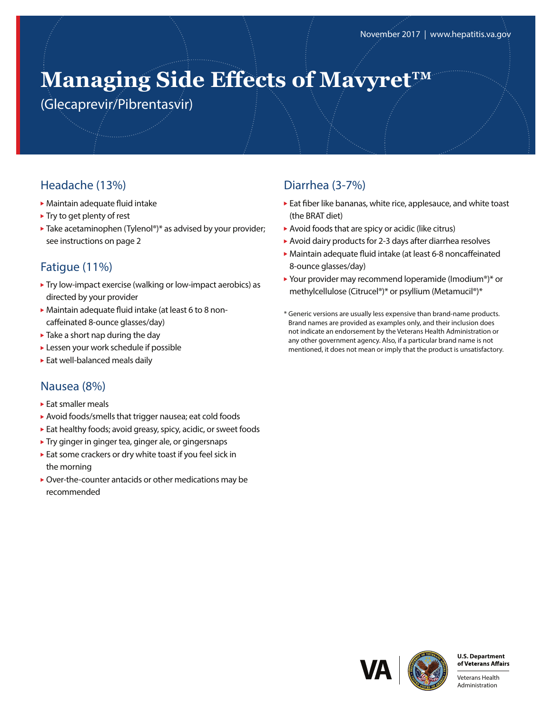# **Managing Side Effects of Mavyret™**

(Glecaprevir/Pibrentasvir)

# Headache (13%)

- Maintain adequate fluid intake
- $\blacktriangleright$  Try to get plenty of rest
- $\blacktriangleright$  Take acetaminophen (Tylenol®)\* as advised by your provider; see instructions on page 2

# Fatigue (11%)

- Try low-impact exercise (walking or low-impact aerobics) as directed by your provider
- Maintain adequate fluid intake (at least 6 to 8 noncaffeinated 8-ounce glasses/day)
- ▶ Take a short nap during the day
- Lessen your work schedule if possible
- Eat well-balanced meals daily

## Nausea (8%)

- ► Eat smaller meals
- Avoid foods/smells that trigger nausea; eat cold foods
- Eat healthy foods; avoid greasy, spicy, acidic, or sweet foods
- **Try ginger in ginger tea, ginger ale, or gingersnaps**
- Eat some crackers or dry white toast if you feel sick in the morning
- Over-the-counter antacids or other medications may be recommended

## Diarrhea (3-7%)

- Eat fiber like bananas, white rice, applesauce, and white toast (the BRAT diet)
- Avoid foods that are spicy or acidic (like citrus)
- Avoid dairy products for 2-3 days after diarrhea resolves
- Maintain adequate fluid intake (at least 6-8 noncaffeinated 8-ounce glasses/day)
- ▶ Your provider may recommend loperamide (Imodium®)\* or methylcellulose (Citrucel®)\* or psyllium (Metamucil®)\*
- \* Generic versions are usually less expensive than brand-name products. Brand names are provided as examples only, and their inclusion does not indicate an endorsement by the Veterans Health Administration or any other government agency. Also, if a particular brand name is not mentioned, it does not mean or imply that the product is unsatisfactory.